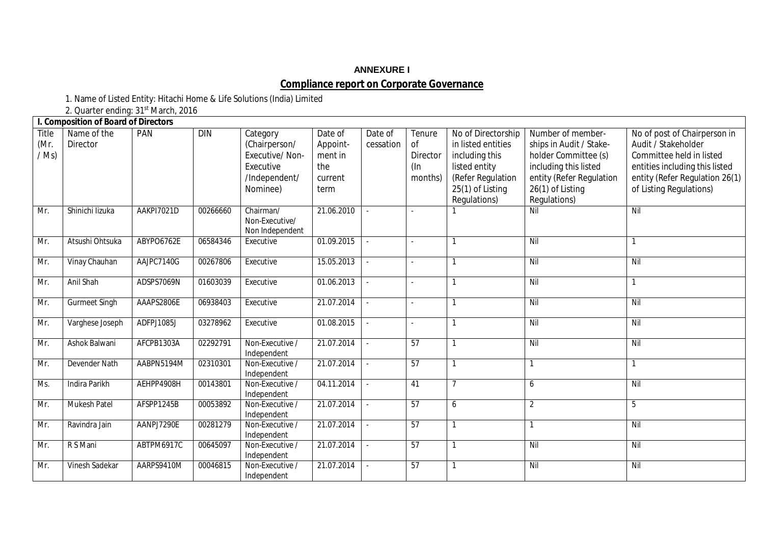# **ANNEXURE I Compliance report on Corporate Governance**

1. Name of Listed Entity: Hitachi Home & Life Solutions (India) Limited

2. Quarter ending: 31<sup>st</sup> March, 2016

|                          | I. Composition of Board of Directors |                   |            |                                                                                       |                                                          |                      |                                            |                                                                                                                                      |                                                                                                                                                               |                                                                                                                                                                                |
|--------------------------|--------------------------------------|-------------------|------------|---------------------------------------------------------------------------------------|----------------------------------------------------------|----------------------|--------------------------------------------|--------------------------------------------------------------------------------------------------------------------------------------|---------------------------------------------------------------------------------------------------------------------------------------------------------------|--------------------------------------------------------------------------------------------------------------------------------------------------------------------------------|
| Title<br>(Mr.<br>$/$ Ms) | Name of the<br>Director              | <b>PAN</b>        | <b>DIN</b> | Category<br>(Chairperson/<br>Executive/Non-<br>Executive<br>/Independent/<br>Nominee) | Date of<br>Appoint-<br>ment in<br>the<br>current<br>term | Date of<br>cessation | Tenure<br>0f<br>Director<br>(In<br>months) | No of Directorship<br>in listed entities<br>including this<br>listed entity<br>(Refer Regulation<br>25(1) of Listing<br>Regulations) | Number of member-<br>ships in Audit / Stake-<br>holder Committee (s)<br>including this listed<br>entity (Refer Regulation<br>26(1) of Listing<br>Regulations) | No of post of Chairperson in<br>Audit / Stakeholder<br>Committee held in listed<br>entities including this listed<br>entity (Refer Regulation 26(1)<br>of Listing Regulations) |
| Mr.                      | Shinichi lizuka                      | AAKPI7021D        | 00266660   | Chairman/<br>Non-Executive/<br>Non Independent                                        | 21.06.2010                                               |                      |                                            |                                                                                                                                      | Nil                                                                                                                                                           | Nil                                                                                                                                                                            |
| Mr.                      | Atsushi Ohtsuka                      | ABYPO6762E        | 06584346   | Executive                                                                             | 01.09.2015                                               | $\sim$               |                                            |                                                                                                                                      | Nil                                                                                                                                                           |                                                                                                                                                                                |
| Mr.                      | Vinay Chauhan                        | AAJPC7140G        | 00267806   | Executive                                                                             | 15.05.2013                                               |                      |                                            | $\mathbf{1}$                                                                                                                         | Nil                                                                                                                                                           | Nil                                                                                                                                                                            |
| Mr.                      | Anil Shah                            | ADSPS7069N        | 01603039   | Executive                                                                             | 01.06.2013                                               | $\sim$               |                                            |                                                                                                                                      | Nil                                                                                                                                                           |                                                                                                                                                                                |
| Mr.                      | <b>Gurmeet Singh</b>                 | AAAPS2806E        | 06938403   | Executive                                                                             | 21.07.2014                                               |                      |                                            | $\mathbf{1}$                                                                                                                         | Nil                                                                                                                                                           | Nil                                                                                                                                                                            |
| Mr.                      | Varghese Joseph                      | ADFPJ1085J        | 03278962   | Executive                                                                             | 01.08.2015                                               |                      |                                            | 1                                                                                                                                    | Nil                                                                                                                                                           | Nil                                                                                                                                                                            |
| Mr.                      | Ashok Balwani                        | AFCPB1303A        | 02292791   | Non-Executive /<br>Independent                                                        | 21.07.2014                                               |                      | 57                                         | $\mathbf{1}$                                                                                                                         | Nil                                                                                                                                                           | Nil                                                                                                                                                                            |
| Mr.                      | Devender Nath                        | AABPN5194M        | 02310301   | Non-Executive /<br>Independent                                                        | 21.07.2014                                               |                      | 57                                         | 1                                                                                                                                    |                                                                                                                                                               |                                                                                                                                                                                |
| Ms.                      | Indira Parikh                        | AEHPP4908H        | 00143801   | Non-Executive /<br>Independent                                                        | 04.11.2014                                               | $\sim$               | 41                                         | $\overline{7}$                                                                                                                       | 6                                                                                                                                                             | Nil                                                                                                                                                                            |
| Mr.                      | <b>Mukesh Patel</b>                  | AFSPP1245B        | 00053892   | Non-Executive /<br>Independent                                                        | 21.07.2014                                               |                      | 57                                         | 6                                                                                                                                    | $\overline{2}$                                                                                                                                                | 5                                                                                                                                                                              |
| Mr.                      | Ravindra Jain                        | AANPJ7290E        | 00281279   | Non-Executive /<br>Independent                                                        | 21.07.2014                                               |                      | 57                                         |                                                                                                                                      |                                                                                                                                                               | Nil                                                                                                                                                                            |
| Mr.                      | R S Mani                             | <b>ABTPM6917C</b> | 00645097   | Non-Executive /<br>Independent                                                        | 21.07.2014                                               |                      | 57                                         |                                                                                                                                      | Nil                                                                                                                                                           | Nil                                                                                                                                                                            |
| Mr.                      | Vinesh Sadekar                       | AARPS9410M        | 00046815   | Non-Executive /<br>Independent                                                        | 21.07.2014                                               |                      | 57                                         | 1                                                                                                                                    | Nil                                                                                                                                                           | Nil                                                                                                                                                                            |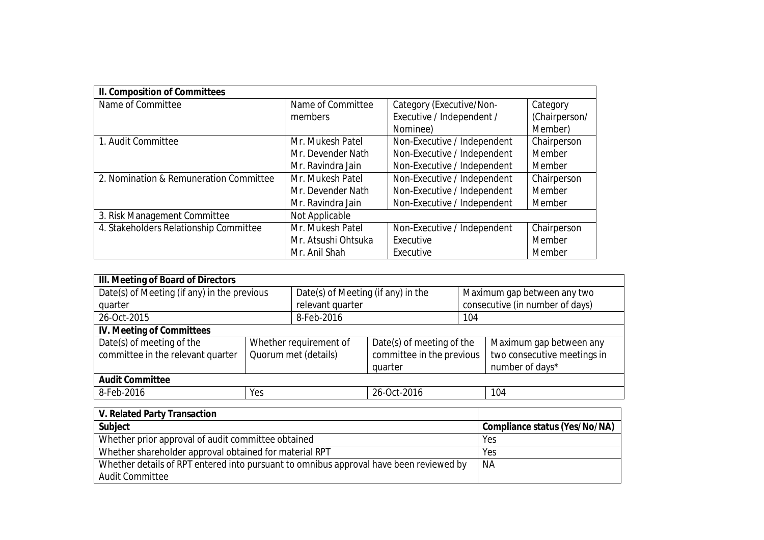| II. Composition of Committees          |                     |                             |               |
|----------------------------------------|---------------------|-----------------------------|---------------|
| Name of Committee                      | Name of Committee   | Category (Executive/Non-    | Category      |
|                                        | members             | Executive / Independent /   | (Chairperson/ |
|                                        |                     | Nominee)                    | Member)       |
| 1. Audit Committee                     | Mr. Mukesh Patel    | Non-Executive / Independent | Chairperson   |
|                                        | Mr. Devender Nath   | Non-Executive / Independent | Member        |
|                                        | Mr. Ravindra Jain   | Non-Executive / Independent | Member        |
| 2. Nomination & Remuneration Committee | Mr. Mukesh Patel    | Non-Executive / Independent | Chairperson   |
|                                        | Mr. Devender Nath   | Non-Executive / Independent | Member        |
|                                        | Mr. Ravindra Jain   | Non-Executive / Independent | Member        |
| 3. Risk Management Committee           | Not Applicable      |                             |               |
| 4. Stakeholders Relationship Committee | Mr. Mukesh Patel    | Non-Executive / Independent | Chairperson   |
|                                        | Mr. Atsushi Ohtsuka | Executive                   | Member        |
|                                        | Mr. Anil Shah       | Executive                   | Member        |

| III. Meeting of Board of Directors          |                                    |                      |                                 |                 |                             |  |
|---------------------------------------------|------------------------------------|----------------------|---------------------------------|-----------------|-----------------------------|--|
| Date(s) of Meeting (if any) in the previous | Date(s) of Meeting (if any) in the |                      | Maximum gap between any two     |                 |                             |  |
| quarter                                     | relevant quarter                   |                      | consecutive (in number of days) |                 |                             |  |
| 26-Oct-2015                                 | 8-Feb-2016                         |                      | 104                             |                 |                             |  |
| <b>IV. Meeting of Committees</b>            |                                    |                      |                                 |                 |                             |  |
| Date(s) of meeting of the                   | Whether requirement of             |                      | Date(s) of meeting of the       |                 | Maximum gap between any     |  |
| committee in the relevant quarter           |                                    | Quorum met (details) | committee in the previous       |                 | two consecutive meetings in |  |
|                                             |                                    | quarter              |                                 | number of days* |                             |  |
| <b>Audit Committee</b>                      |                                    |                      |                                 |                 |                             |  |
| 8-Feb-2016<br>Yes                           |                                    | 26-Oct-2016          |                                 |                 | 104                         |  |
|                                             |                                    |                      |                                 |                 |                             |  |

| V. Related Party Transaction                                                           |                                      |
|----------------------------------------------------------------------------------------|--------------------------------------|
| <b>Subject</b>                                                                         | <b>Compliance status (Yes/No/NA)</b> |
| Whether prior approval of audit committee obtained                                     | Yes                                  |
| Whether shareholder approval obtained for material RPT                                 | Yes                                  |
| Whether details of RPT entered into pursuant to omnibus approval have been reviewed by | NA                                   |
| <b>Audit Committee</b>                                                                 |                                      |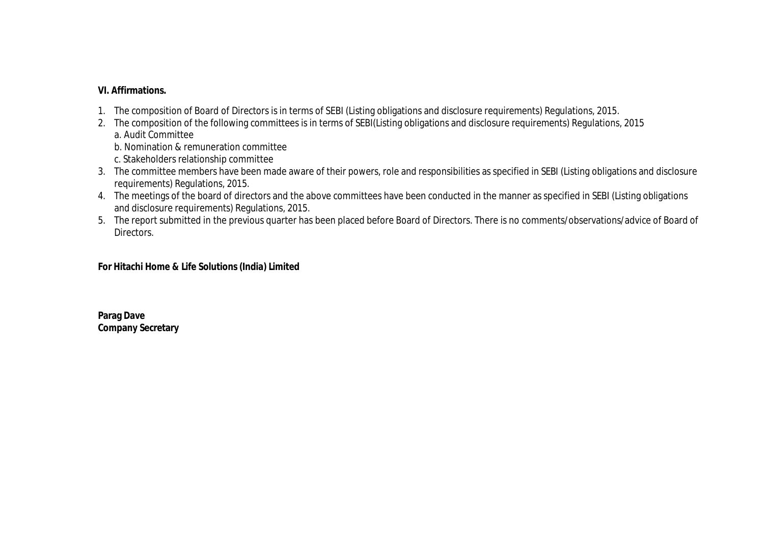### **VI. Affirmations.**

- 1. The composition of Board of Directors is in terms of SEBI (Listing obligations and disclosure requirements) Regulations, 2015.
- 2. The composition of the following committees is in terms of SEBI(Listing obligations and disclosure requirements) Regulations, 2015 a. Audit Committee

b. Nomination & remuneration committee

- c. Stakeholders relationship committee
- 3. The committee members have been made aware of their powers, role and responsibilities as specified in SEBI (Listing obligations and disclosure requirements) Regulations, 2015.
- 4. The meetings of the board of directors and the above committees have been conducted in the manner as specified in SEBI (Listing obligations and disclosure requirements) Regulations, 2015.
- 5. The report submitted in the previous quarter has been placed before Board of Directors. There is no comments/observations/advice of Board of Directors.

#### **For Hitachi Home & Life Solutions (India) Limited**

**Parag Dave Company Secretary**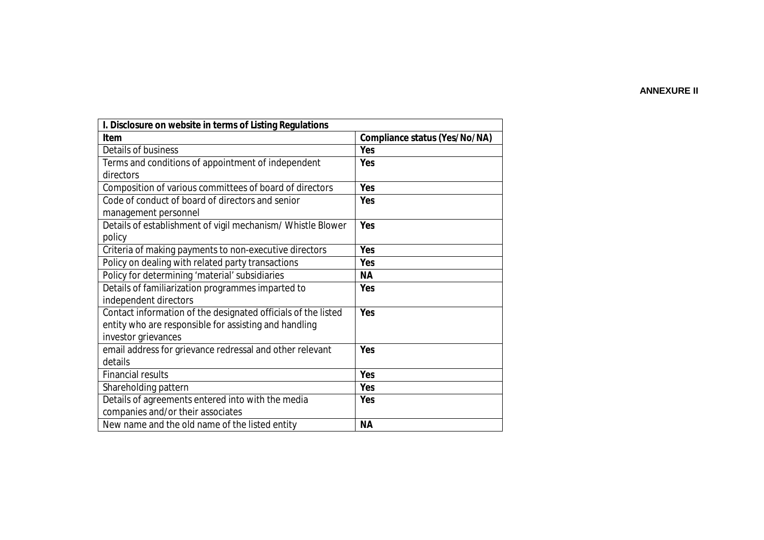#### **ANNEXURE II**

| I. Disclosure on website in terms of Listing Regulations      |                                      |  |  |  |  |
|---------------------------------------------------------------|--------------------------------------|--|--|--|--|
| <b>Item</b>                                                   | <b>Compliance status (Yes/No/NA)</b> |  |  |  |  |
| Details of business                                           | Yes                                  |  |  |  |  |
| Terms and conditions of appointment of independent            | Yes                                  |  |  |  |  |
| directors                                                     |                                      |  |  |  |  |
| Composition of various committees of board of directors       | Yes                                  |  |  |  |  |
| Code of conduct of board of directors and senior              | Yes                                  |  |  |  |  |
| management personnel                                          |                                      |  |  |  |  |
| Details of establishment of vigil mechanism/ Whistle Blower   | Yes                                  |  |  |  |  |
| policy                                                        |                                      |  |  |  |  |
| Criteria of making payments to non-executive directors        | Yes                                  |  |  |  |  |
| Policy on dealing with related party transactions             | Yes                                  |  |  |  |  |
| Policy for determining 'material' subsidiaries                | <b>NA</b>                            |  |  |  |  |
| Details of familiarization programmes imparted to             | Yes                                  |  |  |  |  |
| independent directors                                         |                                      |  |  |  |  |
| Contact information of the designated officials of the listed | Yes                                  |  |  |  |  |
| entity who are responsible for assisting and handling         |                                      |  |  |  |  |
| investor grievances                                           |                                      |  |  |  |  |
| email address for grievance redressal and other relevant      | Yes                                  |  |  |  |  |
| details                                                       |                                      |  |  |  |  |
| <b>Financial results</b>                                      | Yes                                  |  |  |  |  |
| Shareholding pattern                                          | Yes                                  |  |  |  |  |
| Details of agreements entered into with the media             | Yes                                  |  |  |  |  |
| companies and/or their associates                             |                                      |  |  |  |  |
| New name and the old name of the listed entity                | <b>NA</b>                            |  |  |  |  |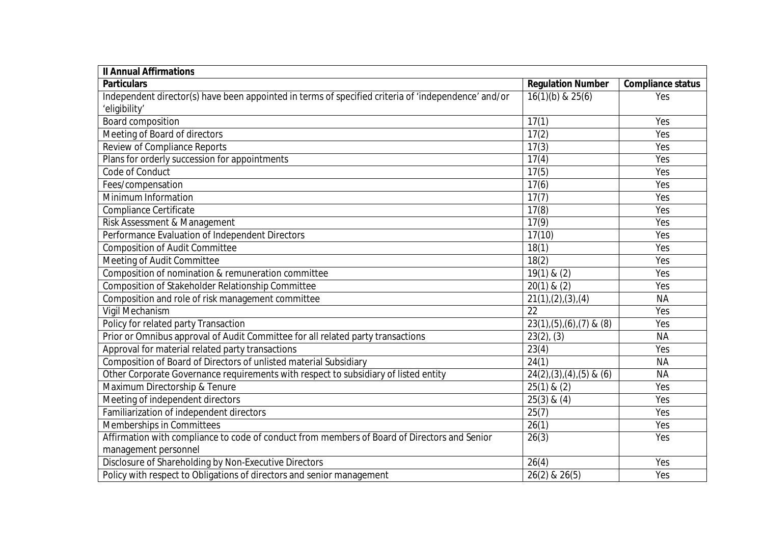| <b>Il Annual Affirmations</b>                                                                       |                                |                          |  |  |  |
|-----------------------------------------------------------------------------------------------------|--------------------------------|--------------------------|--|--|--|
| <b>Particulars</b>                                                                                  | <b>Regulation Number</b>       | <b>Compliance status</b> |  |  |  |
| Independent director(s) have been appointed in terms of specified criteria of 'independence' and/or | $16(1)(b)$ & $25(6)$           | Yes                      |  |  |  |
| 'eligibility'                                                                                       |                                |                          |  |  |  |
| <b>Board composition</b>                                                                            | 17(1)                          | Yes                      |  |  |  |
| Meeting of Board of directors                                                                       | 17(2)                          | Yes                      |  |  |  |
| Review of Compliance Reports                                                                        | 17(3)                          | Yes                      |  |  |  |
| Plans for orderly succession for appointments                                                       | 17(4)                          | Yes                      |  |  |  |
| Code of Conduct                                                                                     | 17(5)                          | Yes                      |  |  |  |
| Fees/compensation                                                                                   | 17(6)                          | Yes                      |  |  |  |
| Minimum Information                                                                                 | 17(7)                          | Yes                      |  |  |  |
| Compliance Certificate                                                                              | 17(8)                          | Yes                      |  |  |  |
| Risk Assessment & Management                                                                        | 17(9)                          | Yes                      |  |  |  |
| Performance Evaluation of Independent Directors                                                     | 17(10)                         | Yes                      |  |  |  |
| <b>Composition of Audit Committee</b>                                                               | 18(1)                          | Yes                      |  |  |  |
| Meeting of Audit Committee                                                                          | 18(2)                          | Yes                      |  |  |  |
| Composition of nomination & remuneration committee                                                  | $19(1)$ & $(2)$                | Yes                      |  |  |  |
| Composition of Stakeholder Relationship Committee                                                   | $20(1)$ & $(2)$                | Yes                      |  |  |  |
| Composition and role of risk management committee                                                   | 21(1), (2), (3), (4)           | <b>NA</b>                |  |  |  |
| Vigil Mechanism                                                                                     | 22                             | Yes                      |  |  |  |
| Policy for related party Transaction                                                                | $23(1), (5), (6), (7)$ & $(8)$ | Yes                      |  |  |  |
| Prior or Omnibus approval of Audit Committee for all related party transactions                     | $23(2)$ , $(3)$                | <b>NA</b>                |  |  |  |
| Approval for material related party transactions                                                    | 23(4)                          | Yes                      |  |  |  |
| Composition of Board of Directors of unlisted material Subsidiary                                   | 24(1)                          | <b>NA</b>                |  |  |  |
| Other Corporate Governance requirements with respect to subsidiary of listed entity                 | $24(2),(3),(4),(5)$ & (6)      | <b>NA</b>                |  |  |  |
| Maximum Directorship & Tenure                                                                       | $25(1)$ & $(2)$                | Yes                      |  |  |  |
| Meeting of independent directors                                                                    | $25(3)$ & $(4)$                | Yes                      |  |  |  |
| Familiarization of independent directors                                                            | 25(7)                          | Yes                      |  |  |  |
| Memberships in Committees                                                                           | 26(1)                          | Yes                      |  |  |  |
| Affirmation with compliance to code of conduct from members of Board of Directors and Senior        | 26(3)                          | Yes                      |  |  |  |
| management personnel                                                                                |                                |                          |  |  |  |
| Disclosure of Shareholding by Non-Executive Directors                                               | 26(4)                          | Yes                      |  |  |  |
| Policy with respect to Obligations of directors and senior management                               | 26(2) & 26(5)                  | Yes                      |  |  |  |